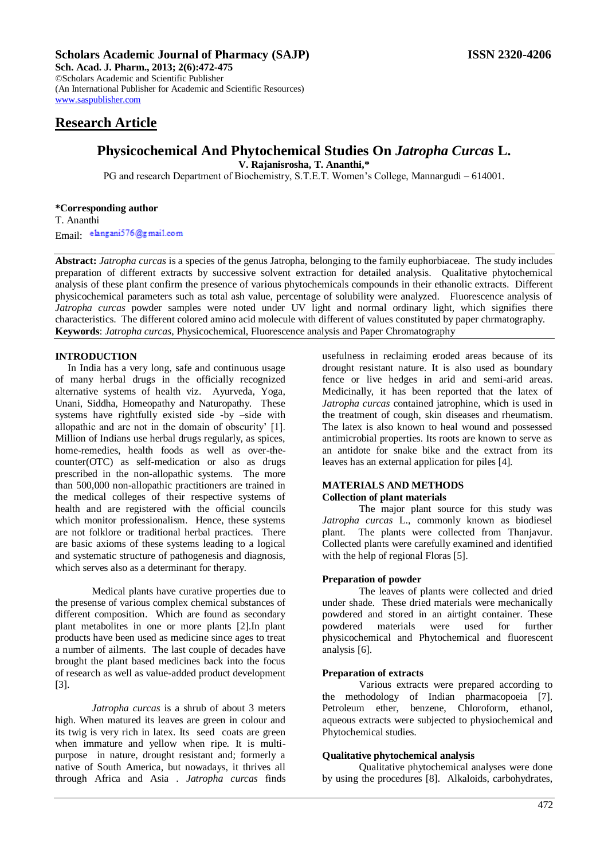## **Scholars Academic Journal of Pharmacy (SAJP) ISSN 2320-4206**

**Sch. Acad. J. Pharm., 2013; 2(6):472-475** ©Scholars Academic and Scientific Publisher (An International Publisher for Academic and Scientific Resources) [www.saspublisher.com](http://www.saspublisher.com/) 

# **Research Article**

# **Physicochemical And Phytochemical Studies On** *Jatropha Curcas* **L.**

**V. Rajanisrosha, T. Ananthi,\***

PG and research Department of Biochemistry, S.T.E.T. Women's College, Mannargudi – 614001.

#### **\*Corresponding author** T. Ananthi

Email: elangani576@gmail.com

**Abstract:** *Jatropha curcas* is a species of the genus Jatropha, belonging to the family euphorbiaceae. The study includes preparation of different extracts by successive solvent extraction for detailed analysis. Qualitative phytochemical analysis of these plant confirm the presence of various phytochemicals compounds in their ethanolic extracts. Different physicochemical parameters such as total ash value, percentage of solubility were analyzed. Fluorescence analysis of *Jatropha curcas* powder samples were noted under UV light and normal ordinary light, which signifies there characteristics. The different colored amino acid molecule with different of values constituted by paper chrmatography. **Keywords**: *Jatropha curcas*, Physicochemical, Fluorescence analysis and Paper Chromatography

# **INTRODUCTION**

 In India has a very long, safe and continuous usage of many herbal drugs in the officially recognized alternative systems of health viz. Ayurveda, Yoga, Unani, Siddha, Homeopathy and Naturopathy. These systems have rightfully existed side -by –side with allopathic and are not in the domain of obscurity' [1]. Million of Indians use herbal drugs regularly, as spices, home-remedies, health foods as well as over-thecounter(OTC) as self-medication or also as drugs prescribed in the non-allopathic systems. The more than 500,000 non-allopathic practitioners are trained in the medical colleges of their respective systems of health and are registered with the official councils which monitor professionalism. Hence, these systems are not folklore or traditional herbal practices. There are basic axioms of these systems leading to a logical and systematic structure of pathogenesis and diagnosis, which serves also as a determinant for therapy.

Medical plants have curative properties due to the presense of various complex chemical substances of different composition. Which are found as secondary plant metabolites in one or more plants [2].In plant products have been used as medicine since ages to treat a number of ailments. The last couple of decades have brought the plant based medicines back into the focus of research as well as value-added product development [3].

*Jatropha curcas* is a shrub of about 3 meters high. When matured its leaves are green in colour and its twig is very rich in latex. Its seed coats are green when immature and yellow when ripe. It is multipurpose in nature, drought resistant and; formerly a native of South America, but nowadays, it thrives all through Africa and Asia . *Jatropha curcas* finds usefulness in reclaiming eroded areas because of its drought resistant nature. It is also used as boundary fence or live hedges in arid and semi-arid areas. Medicinally, it has been reported that the latex of *Jatropha curcas* contained jatrophine, which is used in the treatment of cough, skin diseases and rheumatism. The latex is also known to heal wound and possessed antimicrobial properties. Its roots are known to serve as an antidote for snake bike and the extract from its leaves has an external application for piles [4].

## **MATERIALS AND METHODS Collection of plant materials**

The major plant source for this study was *Jatropha curcas* L., commonly known as biodiesel plant. The plants were collected from Thanjavur. Collected plants were carefully examined and identified with the help of regional Floras [5].

## **Preparation of powder**

The leaves of plants were collected and dried under shade. These dried materials were mechanically powdered and stored in an airtight container. These powdered materials were used for further physicochemical and Phytochemical and fluorescent analysis [6].

## **Preparation of extracts**

Various extracts were prepared according to the methodology of Indian pharmacopoeia [7]. Petroleum ether, benzene, Chloroform, ethanol, aqueous extracts were subjected to physiochemical and Phytochemical studies.

## **Qualitative phytochemical analysis**

Qualitative phytochemical analyses were done by using the procedures [8]. Alkaloids, carbohydrates,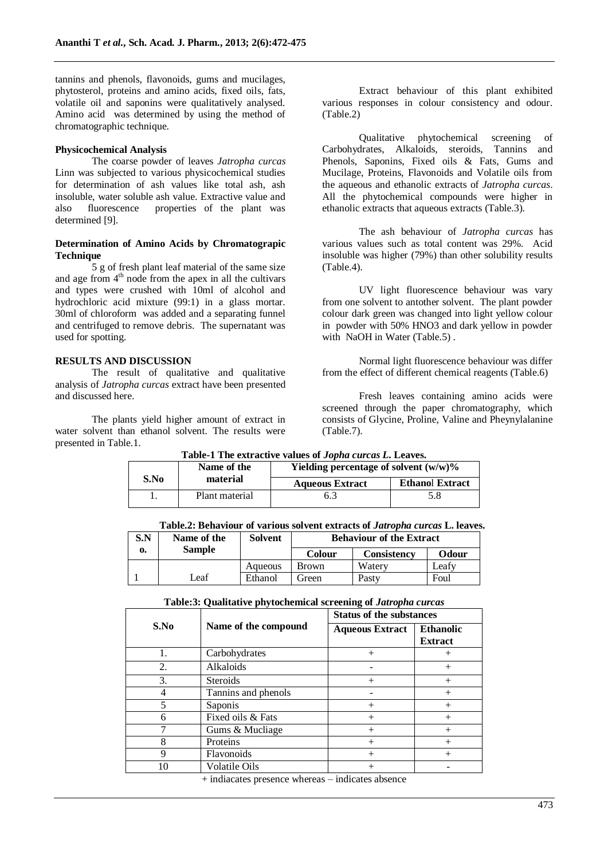tannins and phenols, flavonoids, gums and mucilages, phytosterol, proteins and amino acids, fixed oils, fats, volatile oil and saponins were qualitatively analysed. Amino acid was determined by using the method of chromatographic technique.

#### **Physicochemical Analysis**

The coarse powder of leaves *Jatropha curcas* Linn was subjected to various physicochemical studies for determination of ash values like total ash, ash insoluble, water soluble ash value. Extractive value and also fluorescence properties of the plant was determined [9].

### **Determination of Amino Acids by Chromatograpic Technique**

5 g of fresh plant leaf material of the same size and age from  $4<sup>th</sup>$  node from the apex in all the cultivars and types were crushed with 10ml of alcohol and hydrochloric acid mixture (99:1) in a glass mortar. 30ml of chloroform was added and a separating funnel and centrifuged to remove debris. The supernatant was used for spotting.

#### **RESULTS AND DISCUSSION**

The result of qualitative and qualitative analysis of *Jatropha curcas* extract have been presented and discussed here.

The plants yield higher amount of extract in water solvent than ethanol solvent. The results were presented in Table.1.

Extract behaviour of this plant exhibited various responses in colour consistency and odour. (Table.2)

Qualitative phytochemical screening of Carbohydrates, Alkaloids, steroids, Tannins and Phenols, Saponins, Fixed oils & Fats, Gums and Mucilage, Proteins, Flavonoids and Volatile oils from the aqueous and ethanolic extracts of *Jatropha curcas*. All the phytochemical compounds were higher in ethanolic extracts that aqueous extracts (Table.3).

The ash behaviour of *Jatropha curcas* has various values such as total content was 29%. Acid insoluble was higher (79%) than other solubility results (Table.4).

UV light fluorescence behaviour was vary from one solvent to antother solvent. The plant powder colour dark green was changed into light yellow colour in powder with 50% HNO3 and dark yellow in powder with NaOH in Water (Table.5).

Normal light fluorescence behaviour was differ from the effect of different chemical reagents (Table.6)

Fresh leaves containing amino acids were screened through the paper chromatography, which consists of Glycine, Proline, Valine and Pheynylalanine (Table.7).

|  | S.No | Name of the<br>material | Yielding percentage of solvent $(w/w)\%$ |                        |  |
|--|------|-------------------------|------------------------------------------|------------------------|--|
|  |      |                         | <b>Aqueous Extract</b>                   | <b>Ethanol Extract</b> |  |
|  |      | Plant material          | 6.3                                      | 5.8                    |  |

**Table-1 The extractive values of** *Jopha curcas L***. Leaves.**

|--|

| S.N | Name of the   | Solvent | <b>Behaviour of the Extract</b> |                    |       |
|-----|---------------|---------|---------------------------------|--------------------|-------|
| 0.  | <b>Sample</b> |         | <b>Colour</b>                   | <b>Consistency</b> | Odour |
|     |               | Aqueous | Brown                           | Waterv             | Leafv |
|     | ∟eaf          | Ethanol | Green                           | Pasty              | Foul  |

#### **Table:3: Qualitative phytochemical screening of** *Jatropha curcas*

|      |                      | <b>Status of the substances</b> |                                    |  |
|------|----------------------|---------------------------------|------------------------------------|--|
| S.No | Name of the compound | <b>Aqueous Extract</b>          | <b>Ethanolic</b><br><b>Extract</b> |  |
| 1.   | Carbohydrates        | $^{+}$                          |                                    |  |
| 2.   | Alkaloids            |                                 | $^+$                               |  |
| 3.   | <b>Steroids</b>      | $^{+}$                          |                                    |  |
| 4    | Tannins and phenols  |                                 |                                    |  |
| 5    | Saponis              | $+$                             | $\div$                             |  |
| 6    | Fixed oils & Fats    | $^{+}$                          |                                    |  |
|      | Gums & Mucliage      | $^{+}$                          | $^+$                               |  |
| 8    | Proteins             | $+$                             | $^{+}$                             |  |
| 9    | Flavonoids           | $^{+}$                          | $^{+}$                             |  |
| 10   | <b>Volatile Oils</b> |                                 |                                    |  |

+ indiacates presence whereas – indicates absence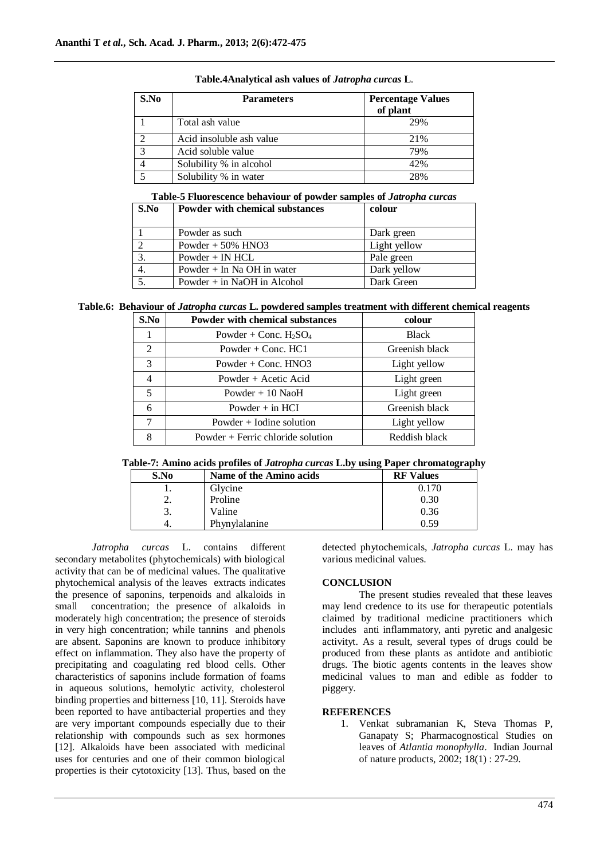| S.No | <b>Parameters</b>        | <b>Percentage Values</b><br>of plant |
|------|--------------------------|--------------------------------------|
|      | Total ash value          | 29%                                  |
|      | Acid insoluble ash value | 21%                                  |
|      | Acid soluble value       | 79%                                  |
|      | Solubility % in alcohol  | 42%                                  |
|      | Solubility % in water    | 28%                                  |

#### **Table.4Analytical ash values of** *Jatropha curcas* **L**.

# **Table-5 Fluorescence behaviour of powder samples of** *Jatropha curcas*

| S.No | Powder with chemical substances | colour       |
|------|---------------------------------|--------------|
|      | Powder as such                  | Dark green   |
|      | Powder $+50\%$ HNO3             | Light yellow |
| 3.   | $Power + IN HCL$                | Pale green   |
|      | Powder $+$ In Na OH in water    | Dark yellow  |
|      | Powder $+$ in NaOH in Alcohol   | Dark Green   |

# **Table.6: Behaviour of** *Jatropha curcas* **L. powdered samples treatment with different chemical reagents**

| S.No | <b>Powder with chemical substances</b> | colour         |
|------|----------------------------------------|----------------|
|      | Powder + Conc. $H_2SO_4$               | <b>Black</b>   |
| 2    | Powder $+$ Conc. HC1                   | Greenish black |
| 3    | Powder + Conc. $HNO3$                  | Light yellow   |
| 4    | Powder + Acetic Acid                   | Light green    |
| 5    | Powder $+10$ NaoH                      | Light green    |
| 6    | Powder $+$ in HCI                      | Greenish black |
| 7    | Powder $+$ Iodine solution             | Light yellow   |
| 8    | Powder $+$ Ferric chloride solution    | Reddish black  |

# **Table-7: Amino acids profiles of** *Jatropha curcas* **L.by using Paper chromatography**

| S.No | Name of the Amino acids | <b>RF</b> Values |
|------|-------------------------|------------------|
|      | Glycine                 | 0.170            |
| ۷.   | Proline                 | 0.30             |
| 3.   | Valine                  | 0.36             |
|      | Phynylalanine           | 0.59             |

*Jatropha curcas* L. contains different secondary metabolites (phytochemicals) with biological activity that can be of medicinal values. The qualitative phytochemical analysis of the leaves extracts indicates the presence of saponins, terpenoids and alkaloids in small concentration; the presence of alkaloids in moderately high concentration; the presence of steroids in very high concentration; while tannins and phenols are absent. Saponins are known to produce inhibitory effect on inflammation. They also have the property of precipitating and coagulating red blood cells. Other characteristics of saponins include formation of foams in aqueous solutions, hemolytic activity, cholesterol binding properties and bitterness [10, 11]. Steroids have been reported to have antibacterial properties and they are very important compounds especially due to their relationship with compounds such as sex hormones [12]. Alkaloids have been associated with medicinal uses for centuries and one of their common biological properties is their cytotoxicity [13]. Thus, based on the

detected phytochemicals, *Jatropha curcas* L. may has various medicinal values.

#### **CONCLUSION**

The present studies revealed that these leaves may lend credence to its use for therapeutic potentials claimed by traditional medicine practitioners which includes anti inflammatory, anti pyretic and analgesic activityt. As a result, several types of drugs could be produced from these plants as antidote and antibiotic drugs. The biotic agents contents in the leaves show medicinal values to man and edible as fodder to piggery.

### **REFERENCES**

1. Venkat subramanian K, Steva Thomas P, Ganapaty S; Pharmacognostical Studies on leaves of *Atlantia monophylla*. Indian Journal of nature products, 2002; 18(1) : 27-29.